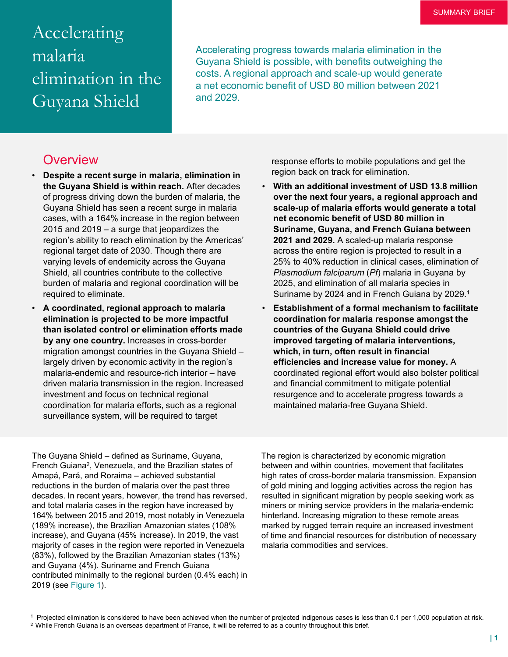# Accelerating malaria elimination in the Guyana Shield

Accelerating progress towards malaria elimination in the Guyana Shield is possible, with benefits outweighing the costs. A regional approach and scale-up would generate a net economic benefit of USD 80 million between 2021 and 2029.

### **Overview**

- **Despite a recent surge in malaria, elimination in the Guyana Shield is within reach.** After decades of progress driving down the burden of malaria, the Guyana Shield has seen a recent surge in malaria cases, with a 164% increase in the region between 2015 and 2019 – a surge that jeopardizes the region's ability to reach elimination by the Americas' regional target date of 2030. Though there are varying levels of endemicity across the Guyana Shield, all countries contribute to the collective burden of malaria and regional coordination will be required to eliminate.
- **A coordinated, regional approach to malaria elimination is projected to be more impactful than isolated control or elimination efforts made by any one country.** Increases in cross-border migration amongst countries in the Guyana Shield – largely driven by economic activity in the region's malaria-endemic and resource-rich interior – have driven malaria transmission in the region. Increased investment and focus on technical regional coordination for malaria efforts, such as a regional surveillance system, will be required to target

response efforts to mobile populations and get the region back on track for elimination.

- **With an additional investment of USD 13.8 million over the next four years, a regional approach and scale-up of malaria efforts would generate a total net economic benefit of USD 80 million in Suriname, Guyana, and French Guiana between 2021 and 2029.** A scaled-up malaria response across the entire region is projected to result in a 25% to 40% reduction in clinical cases, elimination of *Plasmodium falciparum* (*Pf*) malaria in Guyana by 2025, and elimination of all malaria species in Suriname by 2024 and in French Guiana by 2029.1
- **Establishment of a formal mechanism to facilitate coordination for malaria response amongst the countries of the Guyana Shield could drive improved targeting of malaria interventions, which, in turn, often result in financial efficiencies and increase value for money.** A coordinated regional effort would also bolster political and financial commitment to mitigate potential resurgence and to accelerate progress towards a maintained malaria-free Guyana Shield.

The Guyana Shield – defined as Suriname, Guyana, French Guiana2, Venezuela, and the Brazilian states of Amapá, Pará, and Roraima – achieved substantial reductions in the burden of malaria over the past three decades. In recent years, however, the trend has reversed, and total malaria cases in the region have increased by 164% between 2015 and 2019, most notably in Venezuela (189% increase), the Brazilian Amazonian states (108% increase), and Guyana (45% increase). In 2019, the vast majority of cases in the region were reported in Venezuela (83%), followed by the Brazilian Amazonian states (13%) and Guyana (4%). Suriname and French Guiana contributed minimally to the regional burden (0.4% each) in 2019 (see Figure 1).

The region is characterized by economic migration between and within countries, movement that facilitates high rates of cross-border malaria transmission. Expansion of gold mining and logging activities across the region has resulted in significant migration by people seeking work as miners or mining service providers in the malaria-endemic hinterland. Increasing migration to these remote areas marked by rugged terrain require an increased investment of time and financial resources for distribution of necessary malaria commodities and services.

<sup>1</sup> Projected elimination is considered to have been achieved when the number of projected indigenous cases is less than 0.1 per 1,000 population at risk.

2 While French Guiana is an overseas department of France, it will be referred to as a country throughout this brief.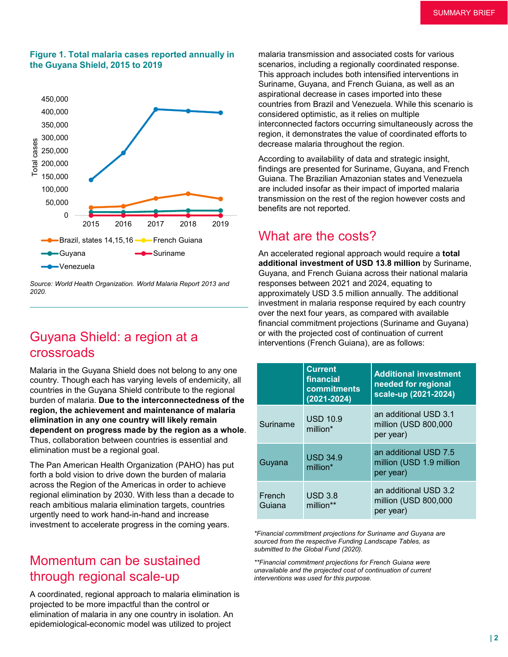#### **Figure 1. Total malaria cases reported annually in the Guyana Shield, 2015 to 2019**



*Source: World Health Organization. World Malaria Report 2013 and 2020.*

# Guyana Shield: a region at a crossroads

Malaria in the Guyana Shield does not belong to any one country. Though each has varying levels of endemicity, all countries in the Guyana Shield contribute to the regional burden of malaria. **Due to the interconnectedness of the region, the achievement and maintenance of malaria elimination in any one country will likely remain dependent on progress made by the region as a whole**. Thus, collaboration between countries is essential and elimination must be a regional goal.

The Pan American Health Organization (PAHO) has put forth a bold vision to drive down the burden of malaria across the Region of the Americas in order to achieve regional elimination by 2030. With less than a decade to reach ambitious malaria elimination targets, countries urgently need to work hand-in-hand and increase investment to accelerate progress in the coming years.

### Momentum can be sustained through regional scale-up

A coordinated, regional approach to malaria elimination is projected to be more impactful than the control or elimination of malaria in any one country in isolation. An epidemiological-economic model was utilized to project

malaria transmission and associated costs for various scenarios, including a regionally coordinated response. This approach includes both intensified interventions in Suriname, Guyana, and French Guiana, as well as an aspirational decrease in cases imported into these countries from Brazil and Venezuela. While this scenario is considered optimistic, as it relies on multiple interconnected factors occurring simultaneously across the region, it demonstrates the value of coordinated efforts to decrease malaria throughout the region.

According to availability of data and strategic insight, findings are presented for Suriname, Guyana, and French Guiana. The Brazilian Amazonian states and Venezuela are included insofar as their impact of imported malaria transmission on the rest of the region however costs and benefits are not reported.

### What are the costs?

An accelerated regional approach would require a **total additional investment of USD 13.8 million** by Suriname, Guyana, and French Guiana across their national malaria responses between 2021 and 2024, equating to approximately USD 3.5 million annually. The additional investment in malaria response required by each country over the next four years, as compared with available financial commitment projections (Suriname and Guyana) or with the projected cost of continuation of current interventions (French Guiana), are as follows:

|  |                  | <b>Current</b><br>financial<br>commitments<br>$(2021 - 2024)$ | <b>Additional investment</b><br>needed for regional<br>scale-up (2021-2024) |
|--|------------------|---------------------------------------------------------------|-----------------------------------------------------------------------------|
|  | Suriname         | <b>USD 10.9</b><br>million*                                   | an additional USD 3.1<br>million (USD 800,000<br>per year)                  |
|  | Guyana           | <b>USD 34.9</b><br>million*                                   | an additional USD 7.5<br>million (USD 1.9 million<br>per year)              |
|  | French<br>Guiana | USD 3.8<br>million**                                          | an additional USD 3.2<br>million (USD 800,000<br>per year)                  |

*\*Financial commitment projections for Suriname and Guyana are sourced from the respective Funding Landscape Tables, as submitted to the Global Fund (2020).* 

*\*\*Financial commitment projections for French Guiana were unavailable and the projected cost of continuation of current interventions was used for this purpose.*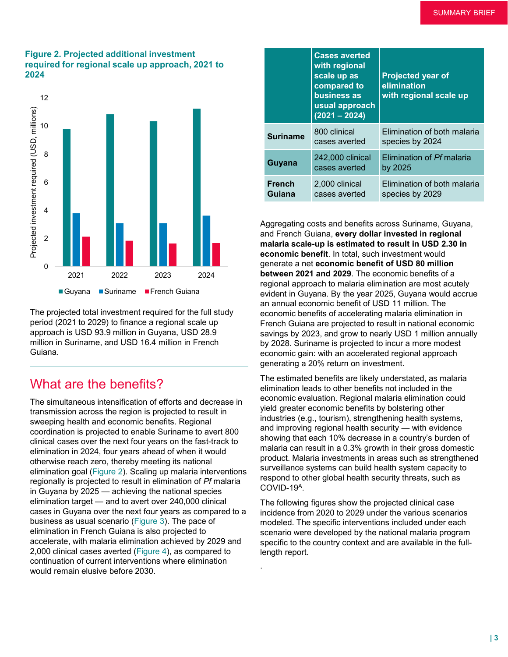#### **Figure 2. Projected additional investment required for regional scale up approach, 2021 to 2024**



The projected total investment required for the full study period (2021 to 2029) to finance a regional scale up approach is USD 93.9 million in Guyana, USD 28.9 million in Suriname, and USD 16.4 million in French Guiana.

### What are the benefits?

The simultaneous intensification of efforts and decrease in transmission across the region is projected to result in sweeping health and economic benefits. Regional coordination is projected to enable Suriname to avert 800 clinical cases over the next four years on the fast-track to elimination in 2024, four years ahead of when it would otherwise reach zero, thereby meeting its national elimination goal (Figure 2). Scaling up malaria interventions regionally is projected to result in elimination of *Pf* malaria in Guyana by 2025 — achieving the national species elimination target — and to avert over 240,000 clinical cases in Guyana over the next four years as compared to a business as usual scenario (Figure 3). The pace of elimination in French Guiana is also projected to accelerate, with malaria elimination achieved by 2029 and 2,000 clinical cases averted (Figure 4), as compared to continuation of current interventions where elimination would remain elusive before 2030.

|                         | <b>Cases averted</b><br>with regional<br>scale up as<br>compared to<br>business as<br>usual approach<br>$(2021 - 2024)$ | <b>Projected year of</b><br>elimination<br>with regional scale up |
|-------------------------|-------------------------------------------------------------------------------------------------------------------------|-------------------------------------------------------------------|
| <b>Suriname</b>         | 800 clinical<br>cases averted                                                                                           | Elimination of both malaria<br>species by 2024                    |
| Guyana                  | 242,000 clinical<br>cases averted                                                                                       | Elimination of Pf malaria<br>by 2025                              |
| <b>French</b><br>Guiana | 2,000 clinical<br>cases averted                                                                                         | Elimination of both malaria<br>species by 2029                    |

Aggregating costs and benefits across Suriname, Guyana, and French Guiana, **every dollar invested in regional malaria scale-up is estimated to result in USD 2.30 in economic benefit**. In total, such investment would generate a net **economic benefit of USD 80 million between 2021 and 2029**. The economic benefits of a regional approach to malaria elimination are most acutely evident in Guyana. By the year 2025, Guyana would accrue an annual economic benefit of USD 11 million. The economic benefits of accelerating malaria elimination in French Guiana are projected to result in national economic savings by 2023, and grow to nearly USD 1 million annually by 2028. Suriname is projected to incur a more modest economic gain: with an accelerated regional approach generating a 20% return on investment.

The estimated benefits are likely understated, as malaria elimination leads to other benefits not included in the economic evaluation. Regional malaria elimination could yield greater economic benefits by bolstering other industries (e.g., tourism), strengthening health systems, and improving regional health security — with evidence showing that each 10% decrease in a country's burden of malaria can result in a 0.3% growth in their gross domestic product. Malaria investments in areas such as strengthened surveillance systems can build health system capacity to respond to other global health security threats, such as COVID-19A.

The following figures show the projected clinical case incidence from 2020 to 2029 under the various scenarios modeled. The specific interventions included under each scenario were developed by the national malaria program specific to the country context and are available in the fulllength report.

.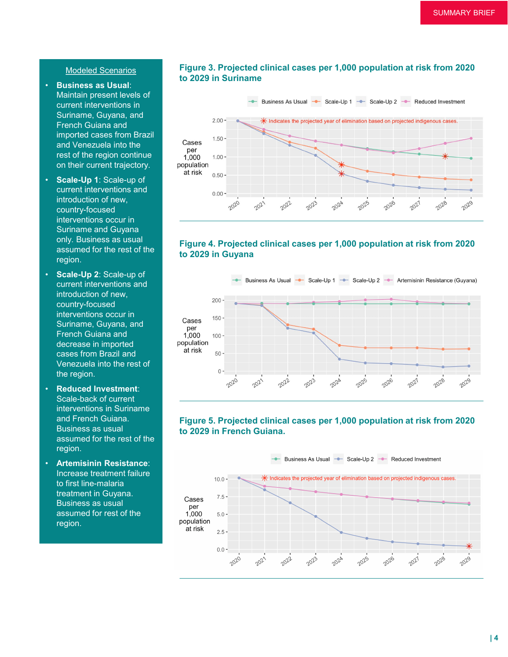#### Modeled Scenarios

- **Business as Usual**: Maintain present levels of current interventions in Suriname, Guyana, and French Guiana and imported cases from Brazil and Venezuela into the rest of the region continue on their current trajectory.
- **Scale-Up 1**: Scale-up of current interventions and introduction of new, country-focused interventions occur in Suriname and Guyana only. Business as usual assumed for the rest of the region.
- **Scale-Up 2**: Scale-up of current interventions and introduction of new, country-focused interventions occur in Suriname, Guyana, and French Guiana and decrease in imported cases from Brazil and Venezuela into the rest of the region.
- **Reduced Investment**: Scale-back of current interventions in Suriname and French Guiana. Business as usual assumed for the rest of the region.
- **Artemisinin Resistance**: Increase treatment failure to first line-malaria treatment in Guyana. Business as usual assumed for rest of the region.

#### **Figure 3. Projected clinical cases per 1,000 population at risk from 2020 to 2029 in Suriname**



#### **Figure 4. Projected clinical cases per 1,000 population at risk from 2020 to 2029 in Guyana**



### **Figure 5. Projected clinical cases per 1,000 population at risk from 2020 to 2029 in French Guiana.**